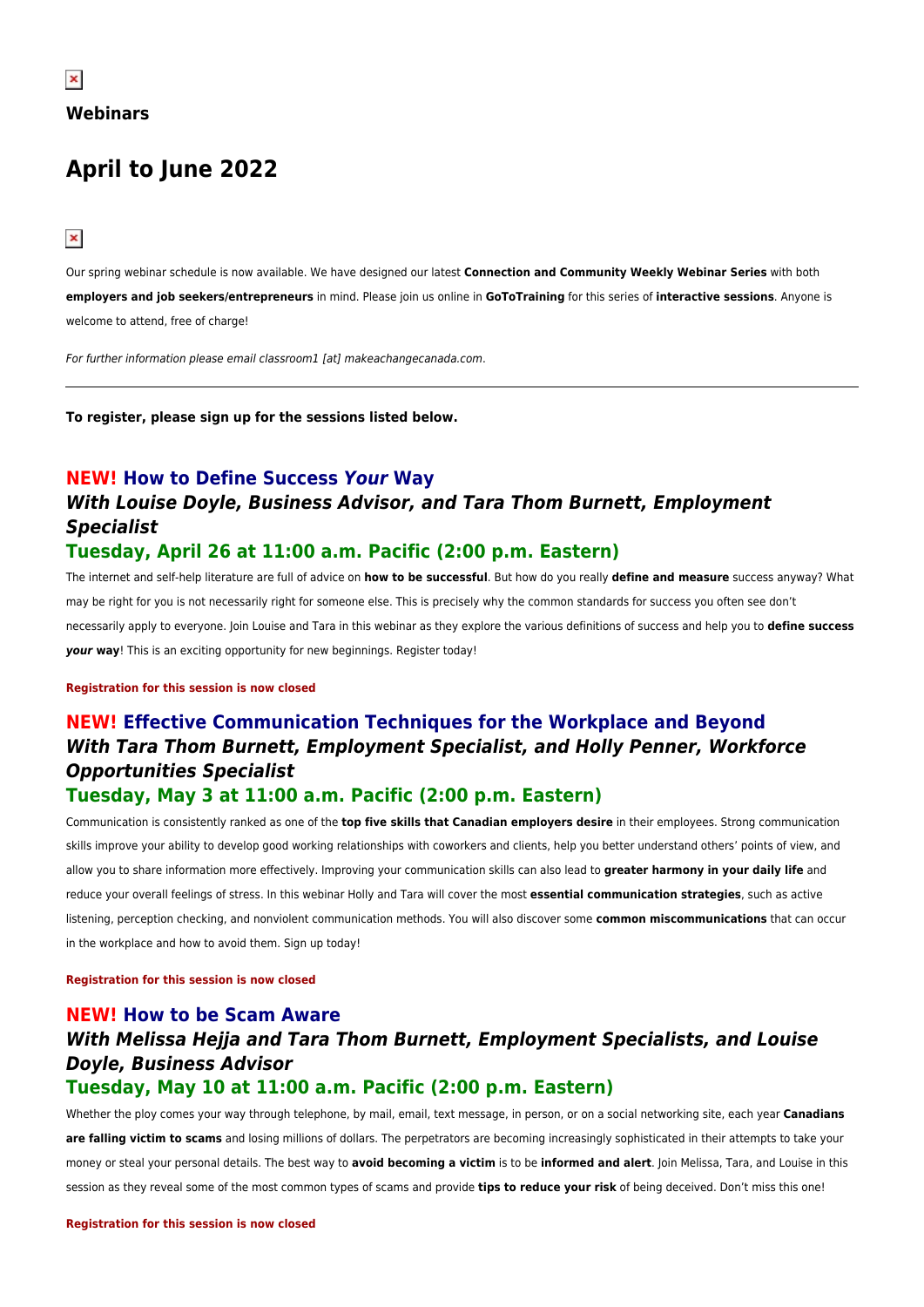# **April to June 2022**

 $\pmb{\times}$ 

Our spring webinar schedule is now available. We have designed our latest **Connection and Community Weekly Webinar Series** with both **employers and job seekers/entrepreneurs** in mind. Please join us online in **GoToTraining** for this series of **interactive sessions**. Anyone is welcome to attend, free of charge!

For further information please email classroom1 [at] makeachangecanada.com.

**To register, please sign up for the sessions listed below.**

## **NEW! How to Define Success** *Your* **Way** *With Louise Doyle, Business Advisor, and Tara Thom Burnett, Employment Specialist*

### **Tuesday, April 26 at 11:00 a.m. Pacific (2:00 p.m. Eastern)**

The internet and self-help literature are full of advice on **how to be successful**. But how do you really **define and measure** success anyway? What may be right for you is not necessarily right for someone else. This is precisely why the common standards for success you often see don't necessarily apply to everyone. Join Louise and Tara in this webinar as they explore the various definitions of success and help you to **define success** *your* **way**! This is an exciting opportunity for new beginnings. Register today!

#### **Registration for this session is now closed**

## **NEW! Effective Communication Techniques for the Workplace and Beyond** *With Tara Thom Burnett, Employment Specialist, and Holly Penner, Workforce Opportunities Specialist*

### **Tuesday, May 3 at 11:00 a.m. Pacific (2:00 p.m. Eastern)**

Communication is consistently ranked as one of the **top five skills that Canadian employers desire** in their employees. Strong communication skills improve your ability to develop good working relationships with coworkers and clients, help you better understand others' points of view, and allow you to share information more effectively. Improving your communication skills can also lead to **greater harmony in your daily life** and reduce your overall feelings of stress. In this webinar Holly and Tara will cover the most **essential communication strategies**, such as active listening, perception checking, and nonviolent communication methods. You will also discover some **common miscommunications** that can occur in the workplace and how to avoid them. Sign up today!

**Registration for this session is now closed**

### **NEW! How to be Scam Aware** *With Melissa Hejja and Tara Thom Burnett, Employment Specialists, and Louise Doyle, Business Advisor* **Tuesday, May 10 at 11:00 a.m. Pacific (2:00 p.m. Eastern)**

Whether the ploy comes your way through telephone, by mail, email, text message, in person, or on a social networking site, each year **Canadians** are falling victim to scams and losing millions of dollars. The perpetrators are becoming increasingly sophisticated in their attempts to take your money or steal your personal details. The best way to **avoid becoming a victim** is to be **informed and alert**. Join Melissa, Tara, and Louise in this session as they reveal some of the most common types of scams and provide **tips to reduce your risk** of being deceived. Don't miss this one!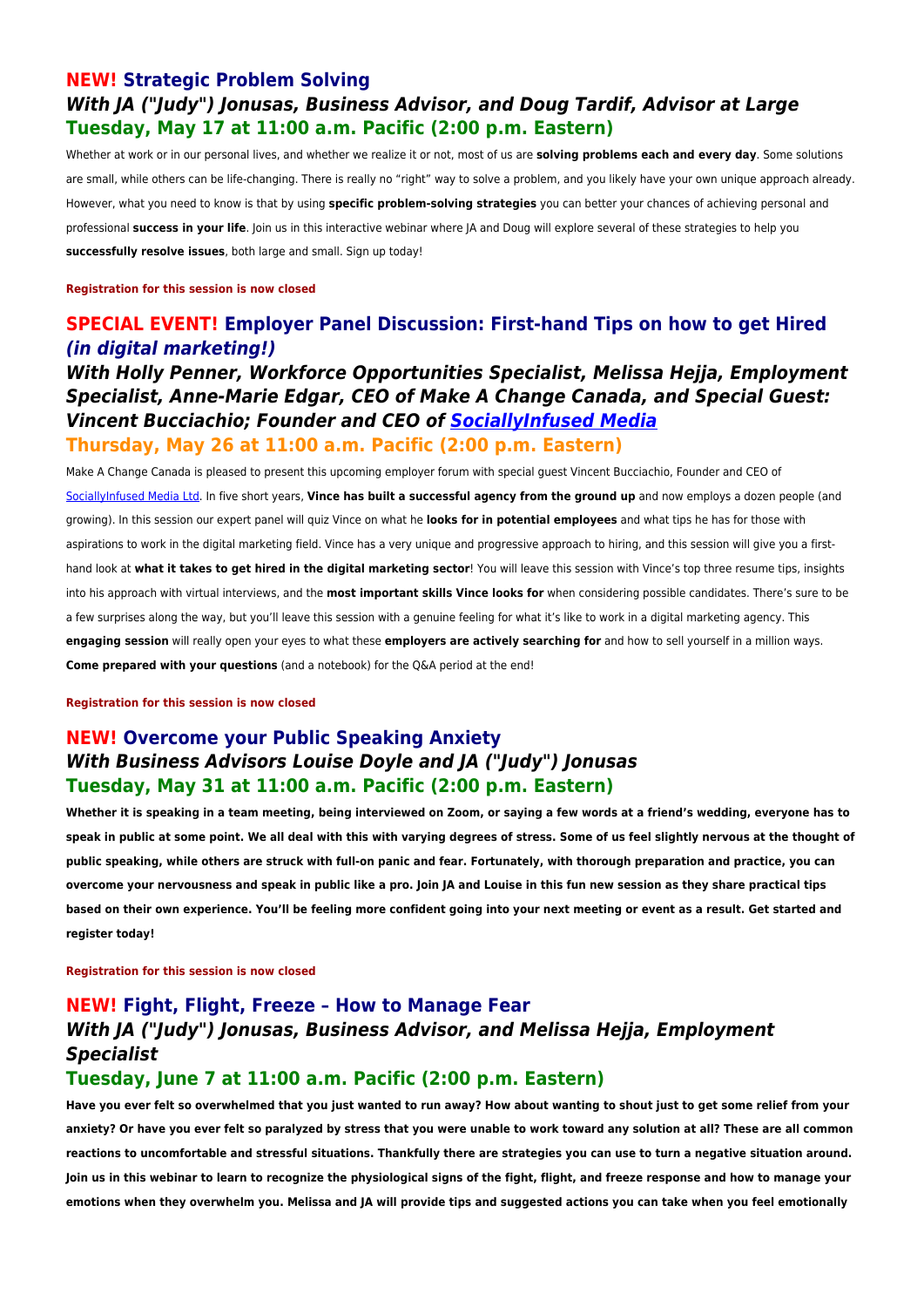### **NEW! Strategic Problem Solving** *With JA ("Judy") Jonusas, Business Advisor, and Doug Tardif, Advisor at Large* **Tuesday, May 17 at 11:00 a.m. Pacific (2:00 p.m. Eastern)**

Whether at work or in our personal lives, and whether we realize it or not, most of us are **solving problems each and every day**. Some solutions are small, while others can be life-changing. There is really no "right" way to solve a problem, and you likely have your own unique approach already. However, what you need to know is that by using **specific problem-solving strategies** you can better your chances of achieving personal and professional **success in your life**. Join us in this interactive webinar where JA and Doug will explore several of these strategies to help you **successfully resolve issues**, both large and small. Sign up today!

**Registration for this session is now closed**

### **SPECIAL EVENT! Employer Panel Discussion: First-hand Tips on how to get Hired** *(in digital marketing!)*

### *With Holly Penner, Workforce Opportunities Specialist, Melissa Hejja, Employment Specialist, Anne-Marie Edgar, CEO of Make A Change Canada, and Special Guest: Vincent Bucciachio; Founder and CEO of [SociallyInfused Media](http://sociallyinfused.com/)*

#### **Thursday, May 26 at 11:00 a.m. Pacific (2:00 p.m. Eastern)**

Make A Change Canada is pleased to present this upcoming employer forum with special guest Vincent Bucciachio, Founder and CEO of [SociallyInfused Media Ltd](http://sociallyinfused.com/). In five short years, **Vince has built a successful agency from the ground up** and now employs a dozen people (and growing). In this session our expert panel will quiz Vince on what he **looks for in potential employees** and what tips he has for those with aspirations to work in the digital marketing field. Vince has a very unique and progressive approach to hiring, and this session will give you a firsthand look at **what it takes to get hired in the digital marketing sector**! You will leave this session with Vince's top three resume tips, insights into his approach with virtual interviews, and the **most important skills Vince looks for** when considering possible candidates. There's sure to be a few surprises along the way, but you'll leave this session with a genuine feeling for what it's like to work in a digital marketing agency. This **engaging session** will really open your eyes to what these **employers are actively searching for** and how to sell yourself in a million ways. **Come prepared with your questions** (and a notebook) for the Q&A period at the end!

**Registration for this session is now closed**

### **NEW! Overcome your Public Speaking Anxiety** *With Business Advisors Louise Doyle and JA ("Judy") Jonusas* **Tuesday, May 31 at 11:00 a.m. Pacific (2:00 p.m. Eastern)**

**Whether it is speaking in a team meeting, being interviewed on Zoom, or saying a few words at a friend's wedding, everyone has to speak in public at some point. We all deal with this with varying degrees of stress. Some of us feel slightly nervous at the thought of public speaking, while others are struck with full-on panic and fear. Fortunately, with thorough preparation and practice, you can overcome your nervousness and speak in public like a pro. Join JA and Louise in this fun new session as they share practical tips based on their own experience. You'll be feeling more confident going into your next meeting or event as a result. Get started and register today!**

**Registration for this session is now closed**

### **NEW! Fight, Flight, Freeze – How to Manage Fear** *With JA ("Judy") Jonusas, Business Advisor, and Melissa Hejja, Employment Specialist*

#### **Tuesday, June 7 at 11:00 a.m. Pacific (2:00 p.m. Eastern)**

**Have you ever felt so overwhelmed that you just wanted to run away? How about wanting to shout just to get some relief from your anxiety? Or have you ever felt so paralyzed by stress that you were unable to work toward any solution at all? These are all common reactions to uncomfortable and stressful situations. Thankfully there are strategies you can use to turn a negative situation around. Join us in this webinar to learn to recognize the physiological signs of the fight, flight, and freeze response and how to manage your emotions when they overwhelm you. Melissa and JA will provide tips and suggested actions you can take when you feel emotionally**